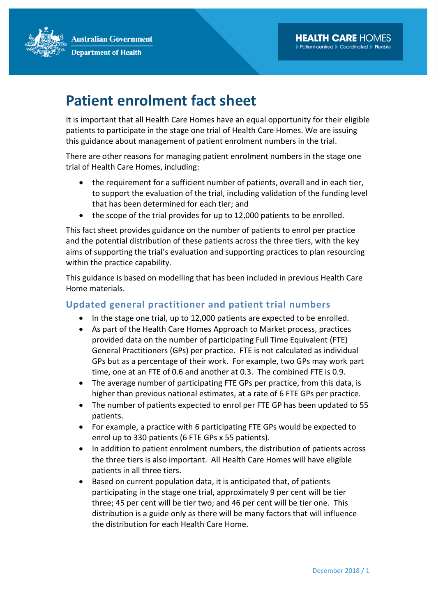**Australian Government Department of Health** 



## Patient enrolment fact sheet

It is important that all Health Care Homes have an equal opportunity for their eligible patients to participate in the stage one trial of Health Care Homes. We are issuing this guidance about management of patient enrolment numbers in the trial.

There are other reasons for managing patient enrolment numbers in the stage one trial of Health Care Homes, including:

- the requirement for a sufficient number of patients, overall and in each tier, to support the evaluation of the trial, including validation of the funding level that has been determined for each tier; and
- the scope of the trial provides for up to 12,000 patients to be enrolled.

This fact sheet provides guidance on the number of patients to enrol per practice and the potential distribution of these patients across the three tiers, with the key aims of supporting the trial's evaluation and supporting practices to plan resourcing within the practice capability.

This guidance is based on modelling that has been included in previous Health Care Home materials.

## Updated general practitioner and patient trial numbers

- In the stage one trial, up to 12,000 patients are expected to be enrolled.
- As part of the Health Care Homes Approach to Market process, practices provided data on the number of participating Full Time Equivalent (FTE) General Practitioners (GPs) per practice. FTE is not calculated as individual GPs but as a percentage of their work. For example, two GPs may work part time, one at an FTE of 0.6 and another at 0.3. The combined FTE is 0.9.
- The average number of participating FTE GPs per practice, from this data, is higher than previous national estimates, at a rate of 6 FTE GPs per practice.
- The number of patients expected to enrol per FTE GP has been updated to 55 patients.
- For example, a practice with 6 participating FTE GPs would be expected to enrol up to 330 patients (6 FTE GPs x 55 patients).
- In addition to patient enrolment numbers, the distribution of patients across the three tiers is also important. All Health Care Homes will have eligible patients in all three tiers.
- Based on current population data, it is anticipated that, of patients participating in the stage one trial, approximately 9 per cent will be tier three; 45 per cent will be tier two; and 46 per cent will be tier one. This distribution is a guide only as there will be many factors that will influence the distribution for each Health Care Home.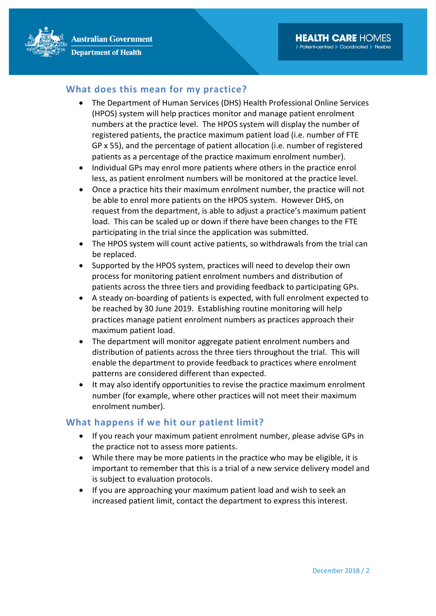

- The Department of Human Services (DHS) Health Professional Online Services (HPOS) system will help practices monitor and manage patient enrolment numbers at the practice level. The HPOS system will display the number of registered patients, the practice maximum patient load (i.e. number of FTE GP x 55), and the percentage of patient allocation (i.e. number of registered patients as a percentage of the practice maximum enrolment number).
- Individual GPs may enrol more patients where others in the practice enrol less, as patient enrolment numbers will be monitored at the practice level.
- Once a practice hits their maximum enrolment number, the practice will not be able to enrol more patients on the HPOS system. However DHS, on request from the department, is able to adjust a practice's maximum patient load. This can be scaled up or down if there have been changes to the FTE participating in the trial since the application was submitted.
- The HPOS system will count active patients, so withdrawals from the trial can be replaced.
- Supported by the HPOS system, practices will need to develop their own process for monitoring patient enrolment numbers and distribution of patients across the three tiers and providing feedback to participating GPs.
- A steady on-boarding of patients is expected, with full enrolment expected to be reached by 30 June 2019. Establishing routine monitoring will help practices manage patient enrolment numbers as practices approach their maximum patient load.
- The department will monitor aggregate patient enrolment numbers and distribution of patients across the three tiers throughout the trial. This will enable the department to provide feedback to practices where enrolment patterns are considered different than expected.
- It may also identify opportunities to revise the practice maximum enrolment number (for example, where other practices will not meet their maximum enrolment number).

## What happens if we hit our patient limit?

- If you reach your maximum patient enrolment number, please advise GPs in the practice not to assess more patients.
- While there may be more patients in the practice who may be eligible, it is important to remember that this is a trial of a new service delivery model and is subject to evaluation protocols.
- If you are approaching your maximum patient load and wish to seek an increased patient limit, contact the department to express this interest.